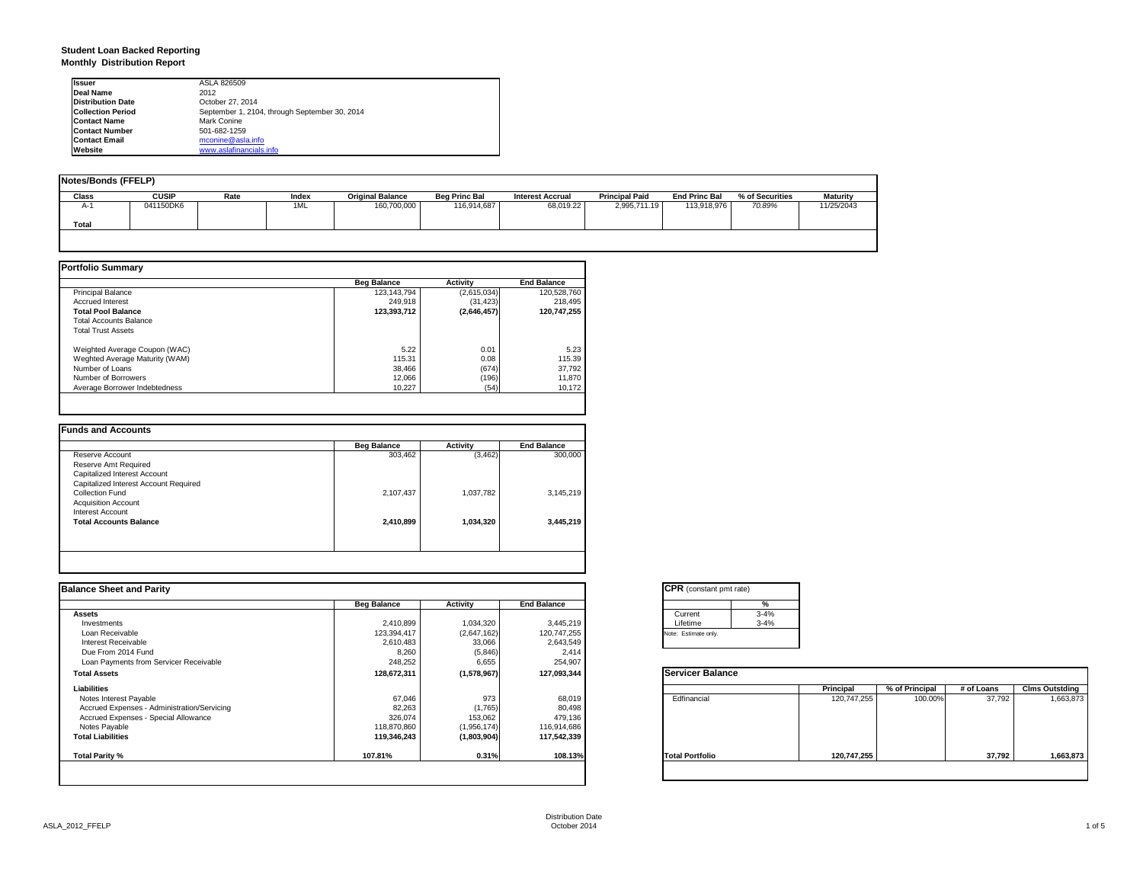#### **Student Loan Backed Reporting Monthly Distribution Report**

| <b>Issuer</b>            | ASLA 826509                                   |
|--------------------------|-----------------------------------------------|
| <b>Deal Name</b>         | 2012                                          |
| <b>Distribution Date</b> | October 27, 2014                              |
| <b>Collection Period</b> | September 1, 2104, through September 30, 2014 |
| <b>Contact Name</b>      | Mark Conine                                   |
| <b>Contact Number</b>    | 501-682-1259                                  |
| <b>Contact Email</b>     | mconine@asla.info                             |
| Website                  | www.aslafinancials.info                       |

| <b>Notes/Bonds (FFELP)</b> |              |      |       |                         |                      |                         |                       |                      |                 |                 |
|----------------------------|--------------|------|-------|-------------------------|----------------------|-------------------------|-----------------------|----------------------|-----------------|-----------------|
| <b>Class</b>               | <b>CUSIP</b> | Rate | Index | <b>Original Balance</b> | <b>Beg Princ Bal</b> | <b>Interest Accrual</b> | <b>Principal Paid</b> | <b>End Princ Bal</b> | % of Securities | <b>Maturity</b> |
| $A-1$                      | 041150DK6    |      | 1ML   | 160,700,000             | 116,914,687          | 68,019.22               | 2,995,711.19          | 113,918,976          | 70.89%          | 11/25/2043      |
| Total                      |              |      |       |                         |                      |                         |                       |                      |                 |                 |
|                            |              |      |       |                         |                      |                         |                       |                      |                 |                 |

|                                | <b>Beg Balance</b> | <b>Activity</b> | <b>End Balance</b> |
|--------------------------------|--------------------|-----------------|--------------------|
| <b>Principal Balance</b>       | 123,143,794        | (2,615,034)     | 120,528,760        |
| <b>Accrued Interest</b>        | 249.918            | (31, 423)       | 218,495            |
| <b>Total Pool Balance</b>      | 123.393.712        | (2,646,457)     | 120.747.255        |
| <b>Total Accounts Balance</b>  |                    |                 |                    |
| <b>Total Trust Assets</b>      |                    |                 |                    |
| Weighted Average Coupon (WAC)  | 5.22               | 0.01            | 5.23               |
| Weghted Average Maturity (WAM) | 115.31             | 0.08            | 115.39             |
| Number of Loans                | 38.466             | (674)           | 37,792             |
| Number of Borrowers            | 12.066             | (196)           | 11,870             |
| Average Borrower Indebtedness  | 10.227             | (54)            | 10.172             |

|                                       | <b>Beg Balance</b> | <b>Activity</b> | <b>End Balance</b> |
|---------------------------------------|--------------------|-----------------|--------------------|
| Reserve Account                       | 303,462            | (3, 462)        | 300,000            |
| Reserve Amt Required                  |                    |                 |                    |
| Capitalized Interest Account          |                    |                 |                    |
| Capitalized Interest Account Required |                    |                 |                    |
| Collection Fund                       | 2,107,437          | 1,037,782       | 3,145,219          |
| <b>Acquisition Account</b>            |                    |                 |                    |
| Interest Account                      |                    |                 |                    |
| <b>Total Accounts Balance</b>         | 2,410,899          | 1,034,320       | 3,445,219          |
|                                       |                    |                 |                    |
|                                       |                    |                 |                    |
|                                       |                    |                 |                    |

| <b>Balance Sheet and Parity</b>             |                    |             |                    | <b>CPR</b> (constant pmt rate) |             |                |            |                       |
|---------------------------------------------|--------------------|-------------|--------------------|--------------------------------|-------------|----------------|------------|-----------------------|
|                                             | <b>Beg Balance</b> | Activity    | <b>End Balance</b> | %                              |             |                |            |                       |
| <b>Assets</b>                               |                    |             |                    | $3 - 4%$<br>Current            |             |                |            |                       |
| Investments                                 | 2,410,899          | 1,034,320   | 3,445,219          | Lifetime<br>$3 - 4%$           |             |                |            |                       |
| Loan Receivable                             | 123,394,417        | (2,647,162) | 120,747,255        | Note: Estimate only.           |             |                |            |                       |
| Interest Receivable                         | 2,610,483          | 33,066      | 2,643,549          |                                |             |                |            |                       |
| Due From 2014 Fund                          | 8,260              | (5,846)     | 2,414              |                                |             |                |            |                       |
| Loan Payments from Servicer Receivable      | 248,252            | 6,655       | 254,907            |                                |             |                |            |                       |
| <b>Total Assets</b>                         | 128,672,311        | (1,578,967) | 127,093,344        | <b>Servicer Balance</b>        |             |                |            |                       |
| Liabilities                                 |                    |             |                    |                                | Principal   | % of Principal | # of Loans | <b>Clms Outstding</b> |
| Notes Interest Payable                      | 67,046             | 973         | 68,019             | Edfinancial                    | 120,747,255 | 100.00%        | 37,792     | 1,663,873             |
| Accrued Expenses - Administration/Servicing | 82,263             | (1,765)     | 80,498             |                                |             |                |            |                       |
| Accrued Expenses - Special Allowance        | 326,074            | 153,062     | 479,136            |                                |             |                |            |                       |
| Notes Payable                               | 118,870,860        | (1,956,174) | 116,914,686        |                                |             |                |            |                       |
| <b>Total Liabilities</b>                    | 119,346,243        | (1,803,904) | 117,542,339        |                                |             |                |            |                       |
| <b>Total Parity %</b>                       | 107.81%            | 0.31%       | 108.13%            | <b>Total Portfolio</b>         | 120,747,255 |                | 37,792     | 1,663,873             |

|          | ℀        |
|----------|----------|
| Current  | $3 - 4%$ |
| Lifetime | $3 - 4%$ |

|                        | Principal   | % of Principal | # of Loans | <b>Clms Outstding</b> |
|------------------------|-------------|----------------|------------|-----------------------|
| Edfinancial            | 120,747,255 | 100.00%        | 37,792     | 1,663,873             |
| <b>Total Portfolio</b> | 120,747,255 |                | 37,792     | 1,663,873             |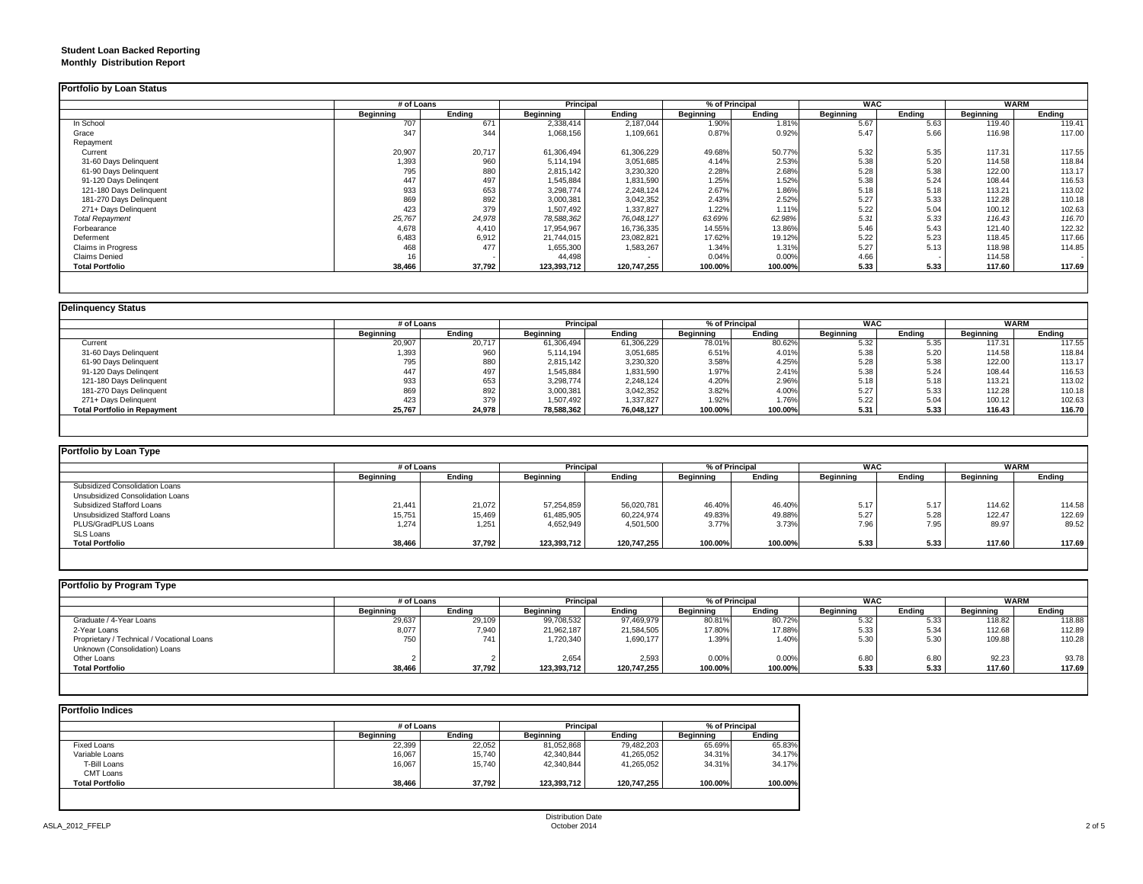#### **Student Loan Backed Reporting Monthly Distribution Report**

|                         | # of Loans |        |                  | <b>Principal</b> |           | % of Principal |           | <b>WAC</b> | <b>WARM</b> |        |
|-------------------------|------------|--------|------------------|------------------|-----------|----------------|-----------|------------|-------------|--------|
|                         | Beginning  | Ending | <b>Beginning</b> | Ending           | Beginning | Ending         | Beginning | Ending     | Beginning   | Ending |
| In School               | 707        | 671    | 2,338,414        | 2,187,044        | 1.90%     | 1.81%          | 5.67      | 5.63       | 119.40      | 119.41 |
| Grace                   | 347        | 344    | 1,068,156        | 1,109,661        | 0.87%     | 0.92%          | 5.47      | 5.66       | 116.98      | 117.00 |
| Repayment               |            |        |                  |                  |           |                |           |            |             |        |
| Current                 | 20,907     | 20,717 | 61,306,494       | 61,306,229       | 49.68%    | 50.77%         | 5.32      | 5.35       | 117.31      | 117.55 |
| 31-60 Days Delinquent   | 1,393      | 960    | 5,114,194        | 3,051,685        | 4.14%     | 2.53%          | 5.38      | 5.20       | 114.58      | 118.84 |
| 61-90 Days Delinquent   | 795        | 880    | 2,815,142        | 3,230,320        | 2.28%     | 2.68%          | 5.28      | 5.38       | 122.00      | 113.17 |
| 91-120 Days Delingent   | 447        | 497    | 1,545,884        | 1,831,590        | 1.25%     | 1.52%          | 5.38      | 5.24       | 108.44      | 116.53 |
| 121-180 Days Delinquent | 933        | 653    | 3,298,774        | 2,248,124        | 2.67%     | 1.86%          | 5.18      | 5.18       | 113.21      | 113.02 |
| 181-270 Days Delinquent | 869        | 892    | 3,000,381        | 3,042,352        | 2.43%     | 2.52%          | 5.27      | 5.33       | 112.28      | 110.18 |
| 271+ Days Delinquent    | 423        | 379    | 1,507,492        | 1,337,827        | 1.22%     | 1.11%          | 5.22      | 5.04       | 100.12      | 102.63 |
| <b>Total Repayment</b>  | 25,767     | 24,978 | 78,588,362       | 76,048,127       | 63.69%    | 62.98%         | 5.31      | 5.33       | 116.43      | 116.70 |
| Forbearance             | 4,678      | 4,410  | 17,954,967       | 16,736,335       | 14.55%    | 13.86%         | 5.46      | 5.43       | 121.40      | 122.32 |
| Deferment               | 6,483      | 6,912  | 21,744,015       | 23,082,821       | 17.62%    | 19.12%         | 5.22      | 5.23       | 118.45      | 117.66 |
| Claims in Progress      | 468        | 477    | 1,655,300        | 1,583,267        | 1.34%     | 1.31%          | 5.27      | 5.13       | 118.98      | 114.85 |
| Claims Denied           |            |        | 44,498           |                  | 0.04%     | 0.00%          | 4.66      |            | 114.58      |        |
| <b>Total Portfolio</b>  | 38,466     | 37,792 | 123,393,712      | 120,747,255      | 100.00%   | 100.00%        | 5.33      | 5.33       | 117.60      | 117.69 |

| <b>Delinquency Status</b> |  |
|---------------------------|--|
|---------------------------|--|

|                                     |           | # of Loans |            | Principal  |           | % of Principal |           | <b>WAC</b> |           | WARM   |  |
|-------------------------------------|-----------|------------|------------|------------|-----------|----------------|-----------|------------|-----------|--------|--|
|                                     | Beginning | Endina     | Beginning  | Ending     | Beginning | Ending         | Beginning | Endina     | Beginning | Ending |  |
| Current                             | 20,907    | 20,717     | 61,306,494 | 61,306,229 | 78.01%    | 80.62%         | 5.32      | 5.35       | 117.31    | 117.55 |  |
| 31-60 Days Delinquent               | 1,393     | 960        | 5,114,194  | 3,051,685  | 6.51%     | 4.01%          | 5.38      | 5.20       | 114.58    | 118.84 |  |
| 61-90 Days Delinquent               | 795       | 880        | 2,815,142  | 3,230,320  | 3.58%     | 4.25%          | 5.28      | 5.38       | 122.00    | 113.17 |  |
| 91-120 Days Delingent               | 447       | 497        | 1,545,884  | 1,831,590  | 1.97%     | 2.41%          | 5.38      | 5.24       | 108.44    | 116.53 |  |
| 121-180 Days Delinquent             | 933       | 653        | 3,298,774  | 2,248,124  | 4.20%     | 2.96%          | 5.18      | 5.18       | 113.21    | 113.02 |  |
| 181-270 Days Delinquent             | 869       | 892        | 3,000,381  | 3,042,352  | 3.82%     | 4.00%          | 5.27      | 5.33       | 112.28    | 110.18 |  |
| 271+ Days Delinquent                | 423       | 379        | 1,507,492  | 1,337,827  | 1.92%     | 1.76%          | 5.22      | 5.04       | 100.12    | 102.63 |  |
| <b>Total Portfolio in Repayment</b> | 25,767    | 24,978     | 78,588,362 | 76.048.127 | 100.00%   | 100.00%        | 5.31      | 5.33       | 116.43    | 116.70 |  |

| Portfolio by Loan Type           |            |        |                  |             |                  |         |                  |        |                  |        |  |  |
|----------------------------------|------------|--------|------------------|-------------|------------------|---------|------------------|--------|------------------|--------|--|--|
|                                  | # of Loans |        | <b>Principal</b> |             | % of Principal   |         | <b>WAC</b>       |        | <b>WARM</b>      |        |  |  |
|                                  | Beginning  | Ending | <b>Beginning</b> | Endina      | <b>Beginning</b> | Ending  | <b>Beginning</b> | Ending | <b>Beginning</b> | Ending |  |  |
| Subsidized Consolidation Loans   |            |        |                  |             |                  |         |                  |        |                  |        |  |  |
| Unsubsidized Consolidation Loans |            |        |                  |             |                  |         |                  |        |                  |        |  |  |
| Subsidized Stafford Loans        | 21.441     | 21,072 | 57.254.859       | 56,020,781  | 46.40%           | 46.40%  | 5.17             | 5.17   | 114.62           | 114.58 |  |  |
| Unsubsidized Stafford Loans      | 15,751     | 15,469 | 61,485,905       | 60,224,974  | 49.83%           | 49.88%  | 5.27             | 5.28   | 122.47           | 122.69 |  |  |
| PLUS/GradPLUS Loans              | 1.274      | 1.251  | 4,652,949        | 4,501,500   | 3.77%            | 3.73%   | 7.96             | 7.95   | 89.97            | 89.52  |  |  |
| SLS Loans                        |            |        |                  |             |                  |         |                  |        |                  |        |  |  |
| <b>Total Portfolio</b>           | 38,466     | 37,792 | 123,393,712      | 120.747.255 | 100.00%          | 100.00% | 5.33             | 5.33   | 117.60           | 117.69 |  |  |

| Portfolio by Program Type                  |                  |        |                  |             |                  |         |                  |        |             |        |  |  |
|--------------------------------------------|------------------|--------|------------------|-------------|------------------|---------|------------------|--------|-------------|--------|--|--|
|                                            | # of Loans       |        | Principal        |             | % of Principal   |         | <b>WAC</b>       |        | <b>WARM</b> |        |  |  |
|                                            | <b>Beainning</b> | Endina | <b>Beginning</b> | Endina      | <b>Beginning</b> | Endina  | <b>Beginning</b> | Endina | Beginning   | Endina |  |  |
| Graduate / 4-Year Loans                    | 29,637           | 29,109 | 99,708,532       | 97,469,979  | 80.81%           | 80.72%  | 5.32             | 5.33   | 118.82      | 118.88 |  |  |
| 2-Year Loans                               | 8,077            | 7,940  | 21,962,187       | 21,584,505  | 17.80%           | 17.88%  | 5.33             | 5.34   | 112.68      | 112.89 |  |  |
| Proprietary / Technical / Vocational Loans | 750              | 741    | 1,720,340        | 1,690,177   | 1.39%            | 1.40%   | 5.30             | 5.30   | 109.88      | 110.28 |  |  |
| Unknown (Consolidation) Loans              |                  |        |                  |             |                  |         |                  |        |             |        |  |  |
| Other Loans                                |                  |        | 2.654            | 2.593       | 0.00%            | 0.00%   | 6.80             | 6.80   | 92.23       | 93.78  |  |  |
| <b>Total Portfolio</b>                     | 38,466           | 37,792 | 123,393,712      | 120,747,255 | 100.00%          | 100.00% | 5.33             | 5.33   | 117.60      | 117.69 |  |  |

|                        |           | # of Loans |                  | Principal   |                  | % of Principal |  |
|------------------------|-----------|------------|------------------|-------------|------------------|----------------|--|
|                        | Beginning | Endina     | <b>Beginning</b> | Endina      | <b>Beginning</b> | Endina         |  |
| Fixed Loans            | 22,399    | 22,052     | 81,052,868       | 79,482,203  | 65.69%           | 65.83%         |  |
| Variable Loans         | 16,067    | 15.740     | 42,340,844       | 41,265,052  | 34.31%           | 34.17%         |  |
| T-Bill Loans           | 16,067    | 15.740     | 42.340.844       | 41,265,052  | 34.31%           | 34.17%         |  |
| CMT Loans              |           |            |                  |             |                  |                |  |
| <b>Total Portfolio</b> | 38,466    | 37,792     | 123,393,712      | 120,747,255 | 100.00%          | 100.00%        |  |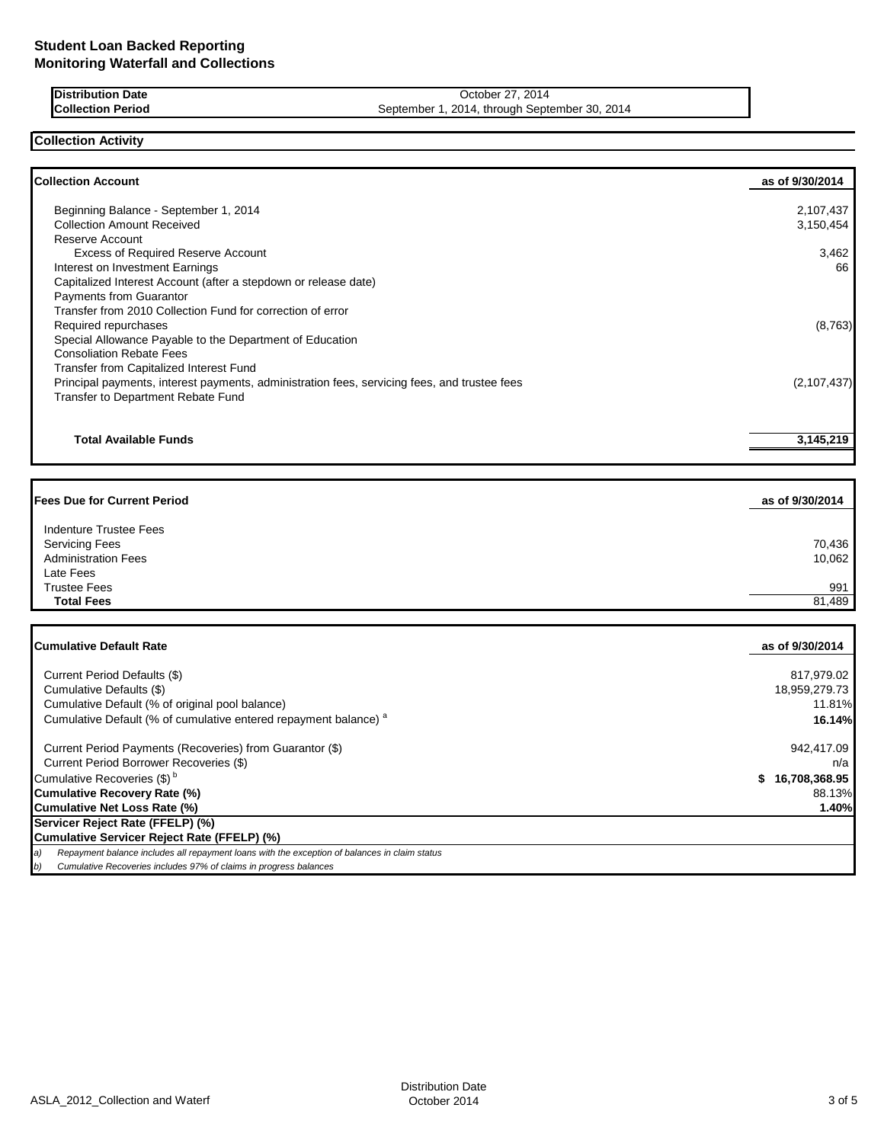**Distribution Date** October 27, 2014<br> **Collection Period** September 1, 2014, through September 2, 2014

September 1, 2014, through September 30, 2014

# **Collection Activity**

| <b>Collection Account</b>                                                                    | as of 9/30/2014 |
|----------------------------------------------------------------------------------------------|-----------------|
| Beginning Balance - September 1, 2014                                                        | 2,107,437       |
| <b>Collection Amount Received</b>                                                            | 3,150,454       |
| Reserve Account                                                                              |                 |
| <b>Excess of Required Reserve Account</b>                                                    | 3,462           |
| Interest on Investment Earnings                                                              | 66              |
| Capitalized Interest Account (after a stepdown or release date)                              |                 |
| <b>Payments from Guarantor</b>                                                               |                 |
| Transfer from 2010 Collection Fund for correction of error                                   |                 |
| Required repurchases                                                                         | (8,763)         |
| Special Allowance Payable to the Department of Education                                     |                 |
| <b>Consoliation Rebate Fees</b>                                                              |                 |
| Transfer from Capitalized Interest Fund                                                      |                 |
| Principal payments, interest payments, administration fees, servicing fees, and trustee fees | (2, 107, 437)   |
| Transfer to Department Rebate Fund                                                           |                 |
|                                                                                              |                 |
| <b>Total Available Funds</b>                                                                 | 3,145,219       |

| <b>Fees Due for Current Period</b>                                                         | as of 9/30/2014  |
|--------------------------------------------------------------------------------------------|------------------|
| Indenture Trustee Fees<br><b>Servicing Fees</b><br><b>Administration Fees</b><br>Late Fees | 70,436<br>10,062 |
| <b>Trustee Fees</b><br><b>Total Fees</b>                                                   | 991<br>81,489    |

| <b>Cumulative Default Rate</b>                                                                      | as of 9/30/2014 |
|-----------------------------------------------------------------------------------------------------|-----------------|
|                                                                                                     |                 |
| Current Period Defaults (\$)                                                                        | 817,979.02      |
| Cumulative Defaults (\$)                                                                            | 18,959,279.73   |
| Cumulative Default (% of original pool balance)                                                     | 11.81%          |
| Cumulative Default (% of cumulative entered repayment balance) <sup>a</sup>                         | 16.14%          |
| Current Period Payments (Recoveries) from Guarantor (\$)                                            | 942,417.09      |
| Current Period Borrower Recoveries (\$)                                                             | n/a             |
| Cumulative Recoveries (\$) <sup>b</sup>                                                             | 16,708,368.95   |
| <b>Cumulative Recovery Rate (%)</b>                                                                 | 88.13%          |
| Cumulative Net Loss Rate (%)                                                                        | 1.40%           |
| Servicer Reject Rate (FFELP) (%)                                                                    |                 |
| Cumulative Servicer Reject Rate (FFELP) (%)                                                         |                 |
| Repayment balance includes all repayment loans with the exception of balances in claim status<br>a) |                 |
| Cumulative Recoveries includes 97% of claims in progress balances<br>b)                             |                 |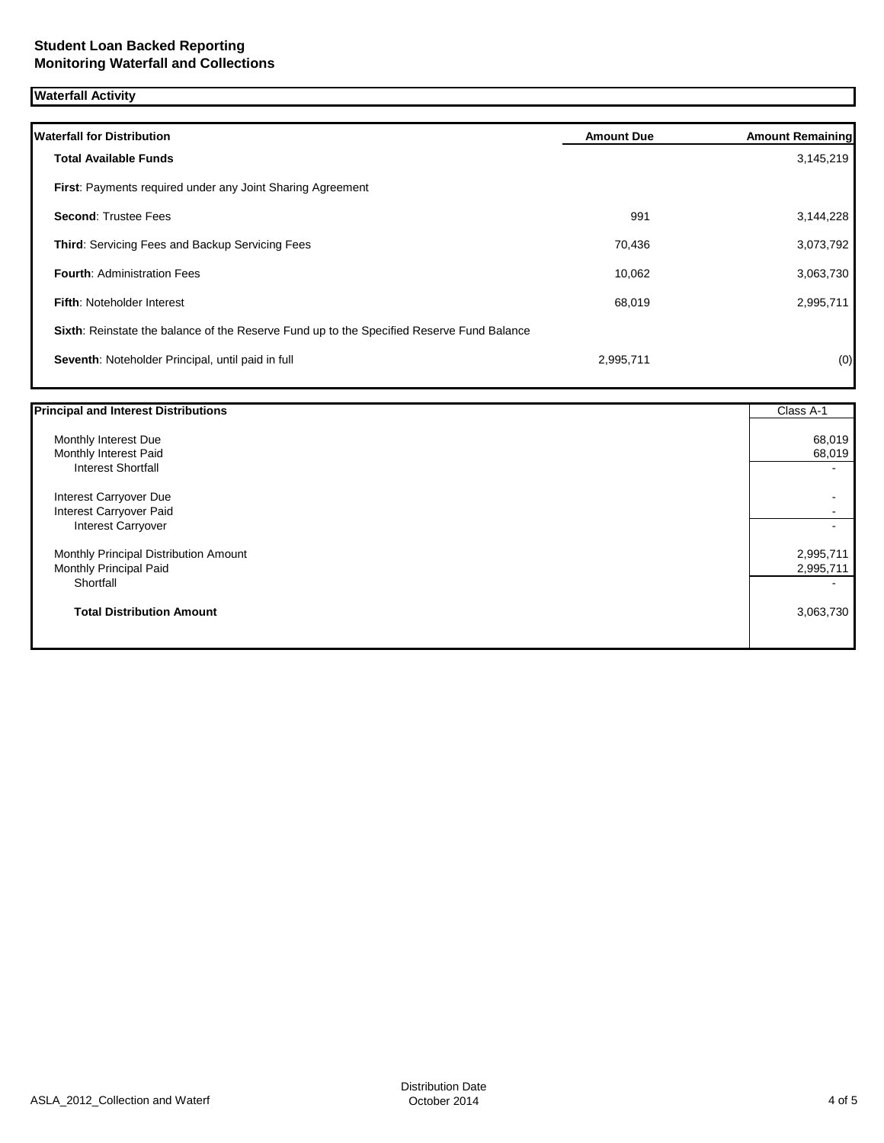## **Waterfall Activity**

| <b>Waterfall for Distribution</b>                                                         | <b>Amount Due</b> | <b>Amount Remaining</b> |
|-------------------------------------------------------------------------------------------|-------------------|-------------------------|
| <b>Total Available Funds</b>                                                              |                   | 3,145,219               |
| <b>First:</b> Payments required under any Joint Sharing Agreement                         |                   |                         |
| <b>Second: Trustee Fees</b>                                                               | 991               | 3,144,228               |
| <b>Third:</b> Servicing Fees and Backup Servicing Fees                                    | 70,436            | 3,073,792               |
| <b>Fourth: Administration Fees</b>                                                        | 10,062            | 3,063,730               |
| <b>Fifth: Noteholder Interest</b>                                                         | 68,019            | 2,995,711               |
| Sixth: Reinstate the balance of the Reserve Fund up to the Specified Reserve Fund Balance |                   |                         |
| Seventh: Noteholder Principal, until paid in full                                         | 2,995,711         | (0)                     |
|                                                                                           |                   |                         |

| <b>Principal and Interest Distributions</b> | Class A-1 |
|---------------------------------------------|-----------|
| Monthly Interest Due                        | 68,019    |
| Monthly Interest Paid                       | 68,019    |
| <b>Interest Shortfall</b>                   |           |
| Interest Carryover Due                      |           |
| Interest Carryover Paid                     |           |
| <b>Interest Carryover</b>                   |           |
| Monthly Principal Distribution Amount       | 2,995,711 |
| Monthly Principal Paid                      | 2,995,711 |
| Shortfall                                   |           |
| <b>Total Distribution Amount</b>            | 3,063,730 |
|                                             |           |